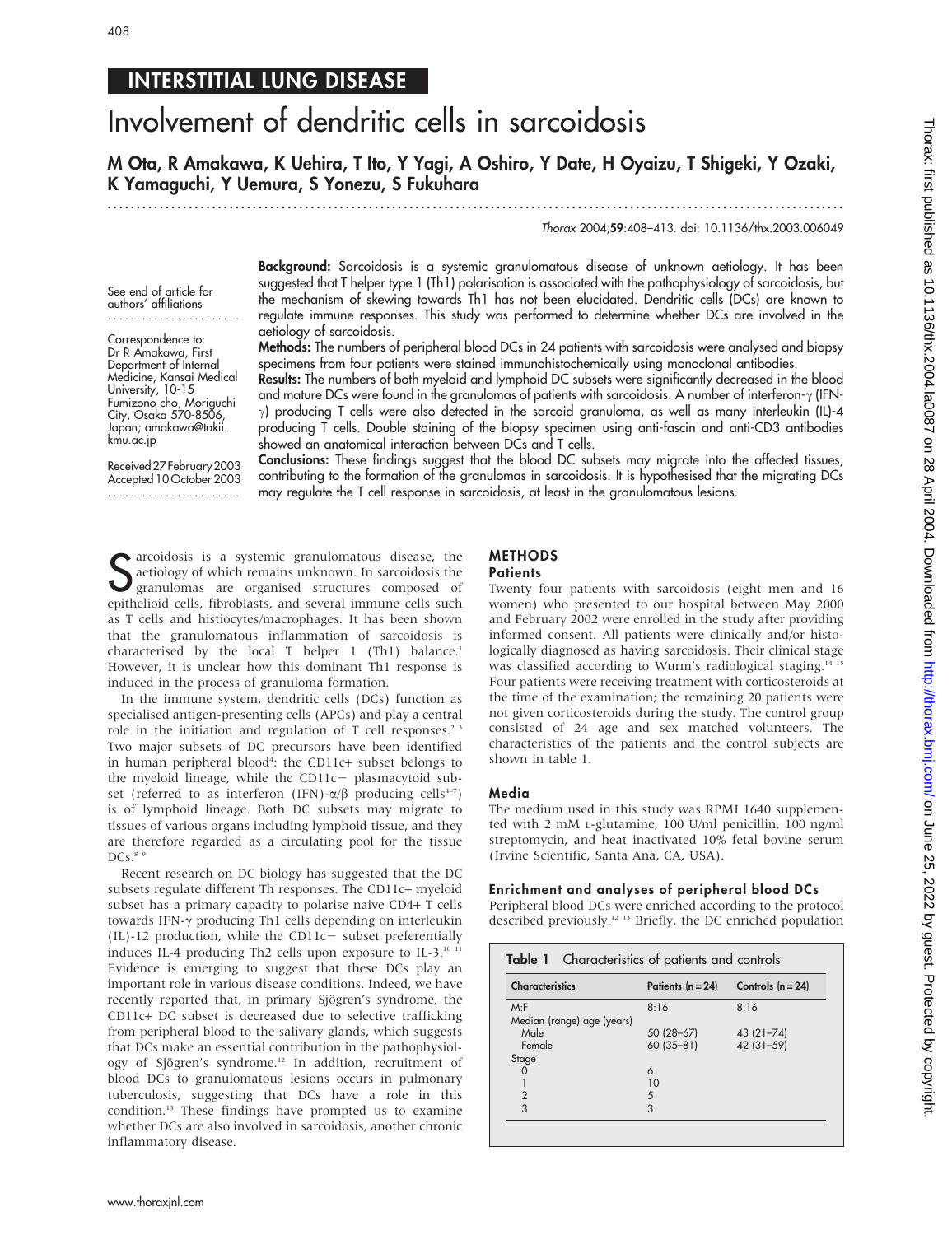# INTERSTITIAL LUNG DISEASE

# Involvement of dendritic cells in sarcoidosis

M Ota, R Amakawa, K Uehira, T Ito, Y Yagi, A Oshiro, Y Date, H Oyaizu, T Shigeki, Y Ozaki, K Yamaguchi, Y Uemura, S Yonezu, S Fukuhara

.............................................................................................................................. .

Thorax 2004;59:408–413. doi: 10.1136/thx.2003.006049

See end of article for authors' affiliations .......................

Correspondence to: Dr R Amakawa, First Department of Internal Medicine, Kansai Medical University, 10-15 Fumizono-cho, Moriguchi City, Osaka 570-8506, Japan; amakawa@takii. kmu.ac.jp

Received27February2003 Accepted 10 October 2003 .......................

Background: Sarcoidosis is a systemic granulomatous disease of unknown aetiology. It has been suggested that T helper type 1 (Th1) polarisation is associated with the pathophysiology of sarcoidosis, but the mechanism of skewing towards Th1 has not been elucidated. Dendritic cells (DCs) are known to regulate immune responses. This study was performed to determine whether DCs are involved in the aetiology of sarcoidosis.

Methods: The numbers of peripheral blood DCs in 24 patients with sarcoidosis were analysed and biopsy specimens from four patients were stained immunohistochemically using monoclonal antibodies.

Results: The numbers of both myeloid and lymphoid DC subsets were significantly decreased in the blood and mature DCs were found in the granulomas of patients with sarcoidosis. A number of interferon- $\gamma$  (IFN- $\gamma$ ) producing T cells were also detected in the sarcoid granuloma, as well as many interleukin (IL)-4 producing T cells. Double staining of the biopsy specimen using anti-fascin and anti-CD3 antibodies showed an anatomical interaction between DCs and T cells.

Conclusions: These findings suggest that the blood DC subsets may migrate into the affected tissues, contributing to the formation of the granulomas in sarcoidosis. It is hypothesised that the migrating DCs may regulate the T cell response in sarcoidosis, at least in the granulomatous lesions.

Sarcoidosis is a systemic granulomatous disease, the aetiology of which remains unknown. In sarcoidosis the granulomas are organised structures composed of exity belief through the system of exity in the such a system of e aetiology of which remains unknown. In sarcoidosis the granulomas are organised structures composed of epithelioid cells, fibroblasts, and several immune cells such as T cells and histiocytes/macrophages. It has been shown that the granulomatous inflammation of sarcoidosis is characterised by the local T helper 1 (Th1) balance.<sup>1</sup> However, it is unclear how this dominant Th1 response is induced in the process of granuloma formation.

In the immune system, dendritic cells (DCs) function as specialised antigen-presenting cells (APCs) and play a central role in the initiation and regulation of T cell responses.<sup>23</sup> Two major subsets of DC precursors have been identified in human peripheral blood<sup>4</sup>: the CD11c+ subset belongs to the myeloid lineage, while the CD11 $c$ - plasmacytoid subset (referred to as interferon (IFN)- $\alpha/\beta$  producing cells<sup>4-7</sup>) is of lymphoid lineage. Both DC subsets may migrate to tissues of various organs including lymphoid tissue, and they are therefore regarded as a circulating pool for the tissue  $DCs.<sup>8</sup>$ 

Recent research on DC biology has suggested that the DC subsets regulate different Th responses. The CD11c+ myeloid subset has a primary capacity to polarise naive CD4+ T cells towards IFN- $\gamma$  producing Th1 cells depending on interleukin (IL)-12 production, while the CD11c- subset preferentially induces IL-4 producing Th2 cells upon exposure to IL-3.<sup>10 11</sup> Evidence is emerging to suggest that these DCs play an important role in various disease conditions. Indeed, we have recently reported that, in primary Sjögren's syndrome, the CD11c+ DC subset is decreased due to selective trafficking from peripheral blood to the salivary glands, which suggests that DCs make an essential contribution in the pathophysiology of Sjögren's syndrome.<sup>12</sup> In addition, recruitment of blood DCs to granulomatous lesions occurs in pulmonary tuberculosis, suggesting that DCs have a role in this condition.13 These findings have prompted us to examine whether DCs are also involved in sarcoidosis, another chronic inflammatory disease.

# METHODS

## **Patients**

Twenty four patients with sarcoidosis (eight men and 16 women) who presented to our hospital between May 2000 and February 2002 were enrolled in the study after providing informed consent. All patients were clinically and/or histologically diagnosed as having sarcoidosis. Their clinical stage was classified according to Wurm's radiological staging.<sup>14</sup> Four patients were receiving treatment with corticosteroids at the time of the examination; the remaining 20 patients were not given corticosteroids during the study. The control group consisted of 24 age and sex matched volunteers. The characteristics of the patients and the control subjects are shown in table 1.

#### Media

The medium used in this study was RPMI 1640 supplemented with 2 mM L-glutamine, 100 U/ml penicillin, 100 ng/ml streptomycin, and heat inactivated 10% fetal bovine serum (Irvine Scientific, Santa Ana, CA, USA).

#### Enrichment and analyses of peripheral blood DCs

Peripheral blood DCs were enriched according to the protocol described previously.12 13 Briefly, the DC enriched population

| <b>Table 1</b> Characteristics of patients and controls |                             |  |  |  |  |  |  |
|---------------------------------------------------------|-----------------------------|--|--|--|--|--|--|
| Patients $(n = 24)$                                     | Controls $(n = 24)$         |  |  |  |  |  |  |
| 8:16                                                    | 8:16                        |  |  |  |  |  |  |
| $50(28-67)$<br>60 (35-81)                               | $43(21 - 74)$<br>42 (31-59) |  |  |  |  |  |  |
| 6                                                       |                             |  |  |  |  |  |  |
| 10                                                      |                             |  |  |  |  |  |  |
| 3                                                       |                             |  |  |  |  |  |  |
|                                                         | 5                           |  |  |  |  |  |  |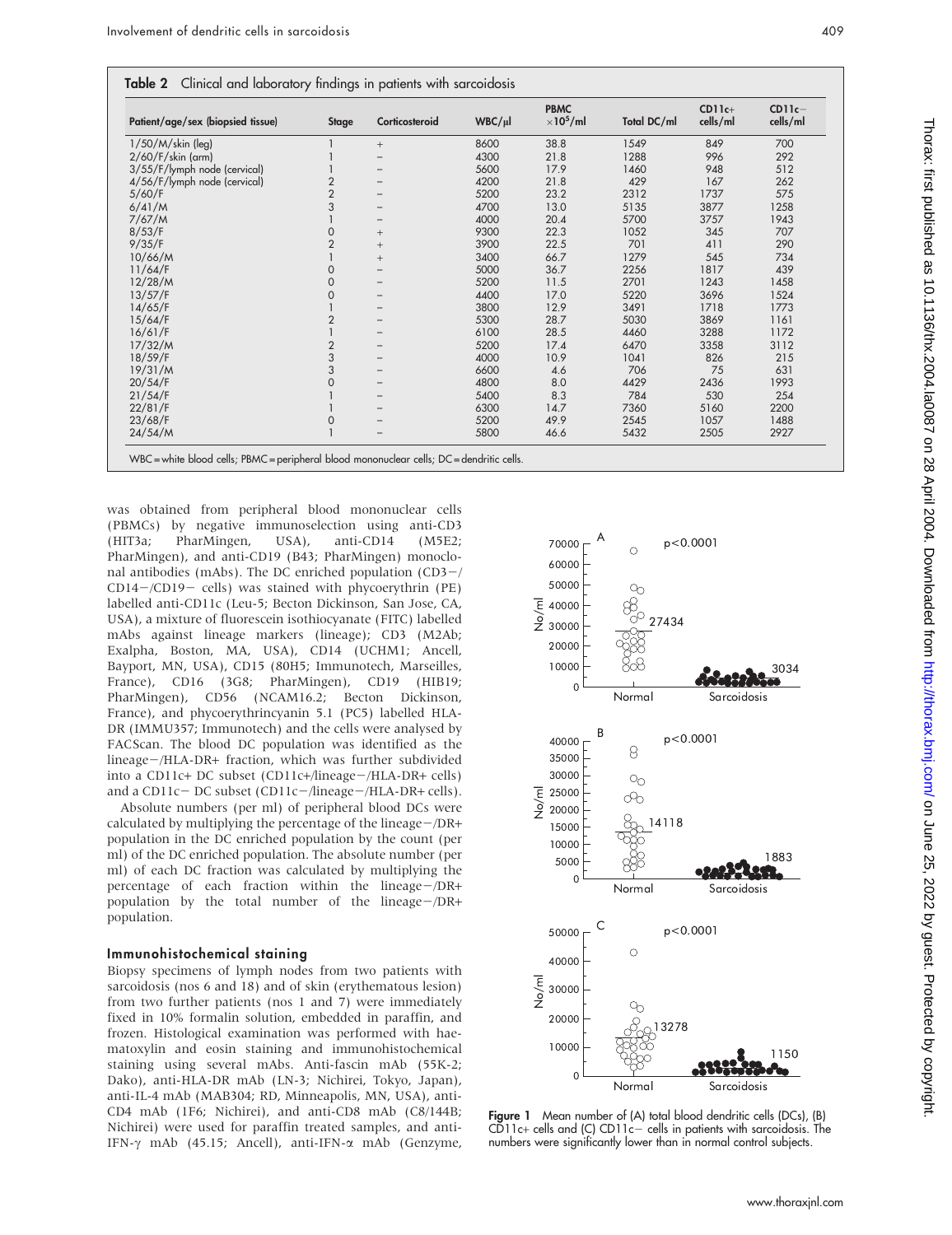| Table 2 Clinical and laboratory findings in patients with sarcoidosis |  |  |  |  |
|-----------------------------------------------------------------------|--|--|--|--|
|-----------------------------------------------------------------------|--|--|--|--|

| Patient/age/sex (biopsied tissue) | <b>Stage</b>        | Corticosteroid           | WBC/µI | <b>PBMC</b><br>$\times$ 10 <sup>5</sup> /ml | Total DC/ml | $CD11c+$<br>cells/ml | $CD11c-$<br>cells/ml |
|-----------------------------------|---------------------|--------------------------|--------|---------------------------------------------|-------------|----------------------|----------------------|
| $1/50/M/s$ kin (leg)              |                     | $+$                      | 8600   | 38.8                                        | 1549        | 849                  | 700                  |
| $2/60/F/s$ kin (arm)              |                     |                          | 4300   | 21.8                                        | 1288        | 996                  | 292                  |
| 3/55/F/lymph node (cervical)      |                     |                          | 5600   | 17.9                                        | 1460        | 948                  | 512                  |
| 4/56/F/lymph node (cervical)      | 2                   |                          | 4200   | 21.8                                        | 429         | 167                  | 262                  |
| 5/60/F                            | $\overline{2}$      |                          | 5200   | 23.2                                        | 2312        | 1737                 | 575                  |
| 6/41/M                            | 3                   |                          | 4700   | 13.0                                        | 5135        | 3877                 | 1258                 |
| 7/67/M                            |                     |                          | 4000   | 20.4                                        | 5700        | 3757                 | 1943                 |
| 8/53/F                            | $\mathsf{O}\xspace$ | $+$                      | 9300   | 22.3                                        | 1052        | 345                  | 707                  |
| 9/35/F                            | $\overline{2}$      | $^{+}$                   | 3900   | 22.5                                        | 701         | 411                  | 290                  |
| 10/66/M                           |                     | $+$                      | 3400   | 66.7                                        | 1279        | 545                  | 734                  |
| 11/64/F                           | 0                   |                          | 5000   | 36.7                                        | 2256        | 1817                 | 439                  |
| 12/28/M                           | $\mathbf 0$         |                          | 5200   | 11.5                                        | 2701        | 1243                 | 1458                 |
| 13/57/F                           | 0                   |                          | 4400   | 17.0                                        | 5220        | 3696                 | 1524                 |
| 14/65/F                           |                     |                          | 3800   | 12.9                                        | 3491        | 1718                 | 1773                 |
| 15/64/F                           | $\overline{2}$      |                          | 5300   | 28.7                                        | 5030        | 3869                 | 1161                 |
| 16/61/F                           |                     |                          | 6100   | 28.5                                        | 4460        | 3288                 | 1172                 |
| 17/32/M                           | $\overline{2}$      | $\overline{\phantom{0}}$ | 5200   | 17.4                                        | 6470        | 3358                 | 3112                 |
| 18/59/F                           | 3                   |                          | 4000   | 10.9                                        | 1041        | 826                  | 215                  |
| 19/31/M                           | 3                   |                          | 6600   | 4.6                                         | 706         | 75                   | 631                  |
| 20/54/F                           | 0                   |                          | 4800   | 8.0                                         | 4429        | 2436                 | 1993                 |
| 21/54/F                           |                     |                          | 5400   | 8.3                                         | 784         | 530                  | 254                  |
| 22/81/F                           |                     | $\overline{\phantom{0}}$ | 6300   | 14.7                                        | 7360        | 5160                 | 2200                 |
| 23/68/F                           | $\mathbf{0}$        |                          | 5200   | 49.9                                        | 2545        | 1057                 | 1488                 |
| 24/54/M                           |                     |                          | 5800   | 46.6                                        | 5432        | 2505                 | 2927                 |

WBC = white blood cells; PBMC = peripheral blood mononuclear cells; DC = dendritic cells.

was obtained from peripheral blood mononuclear cells (PBMCs) by negative immunoselection using anti-CD3 (HIT3a; PharMingen, USA), anti-CD14 (M5E2; PharMingen), and anti-CD19 (B43; PharMingen) monoclonal antibodies (mAbs). The DC enriched population  $(CD3 CD14-\!/CD19-$  cells) was stained with phycoerythrin (PE) labelled anti-CD11c (Leu-5; Becton Dickinson, San Jose, CA, USA), a mixture of fluorescein isothiocyanate (FITC) labelled mAbs against lineage markers (lineage); CD3 (M2Ab; Exalpha, Boston, MA, USA), CD14 (UCHM1; Ancell, Bayport, MN, USA), CD15 (80H5; Immunotech, Marseilles, France), CD16 (3G8; PharMingen), CD19 (HIB19; PharMingen), CD56 (NCAM16.2; Becton Dickinson, France), and phycoerythrincyanin 5.1 (PC5) labelled HLA-DR (IMMU357; Immunotech) and the cells were analysed by FACScan. The blood DC population was identified as the  $lineage - / HLA-DR+ fraction, which was further subdivided$ into a CD11c+ DC subset (CD11c+/lineage-/HLA-DR+ cells) and a CD11c-DC subset (CD11c-/lineage-/HLA-DR+ cells).

Absolute numbers (per ml) of peripheral blood DCs were calculated by multiplying the percentage of the lineage $-/DR+$ population in the DC enriched population by the count (per ml) of the DC enriched population. The absolute number (per ml) of each DC fraction was calculated by multiplying the percentage of each fraction within the lineage-/DR+ population by the total number of the lineage $-\sqrt{DR}$ + population.

#### Immunohistochemical staining

Biopsy specimens of lymph nodes from two patients with sarcoidosis (nos 6 and 18) and of skin (erythematous lesion) from two further patients (nos 1 and 7) were immediately fixed in 10% formalin solution, embedded in paraffin, and frozen. Histological examination was performed with haematoxylin and eosin staining and immunohistochemical staining using several mAbs. Anti-fascin mAb (55K-2; Dako), anti-HLA-DR mAb (LN-3; Nichirei, Tokyo, Japan), anti-IL-4 mAb (MAB304; RD, Minneapolis, MN, USA), anti-CD4 mAb (1F6; Nichirei), and anti-CD8 mAb (C8/144B; Nichirei) were used for paraffin treated samples, and anti-IFN- $\gamma$  mAb (45.15; Ancell), anti-IFN- $\alpha$  mAb (Genzyme,



Figure 1 Mean number of (A) total blood dendritic cells (DCs), (B)  $CD11c+$  cells and (C)  $CD11c-$  cells in patients with sarcoidosis. The numbers were significantly lower than in normal control subjects.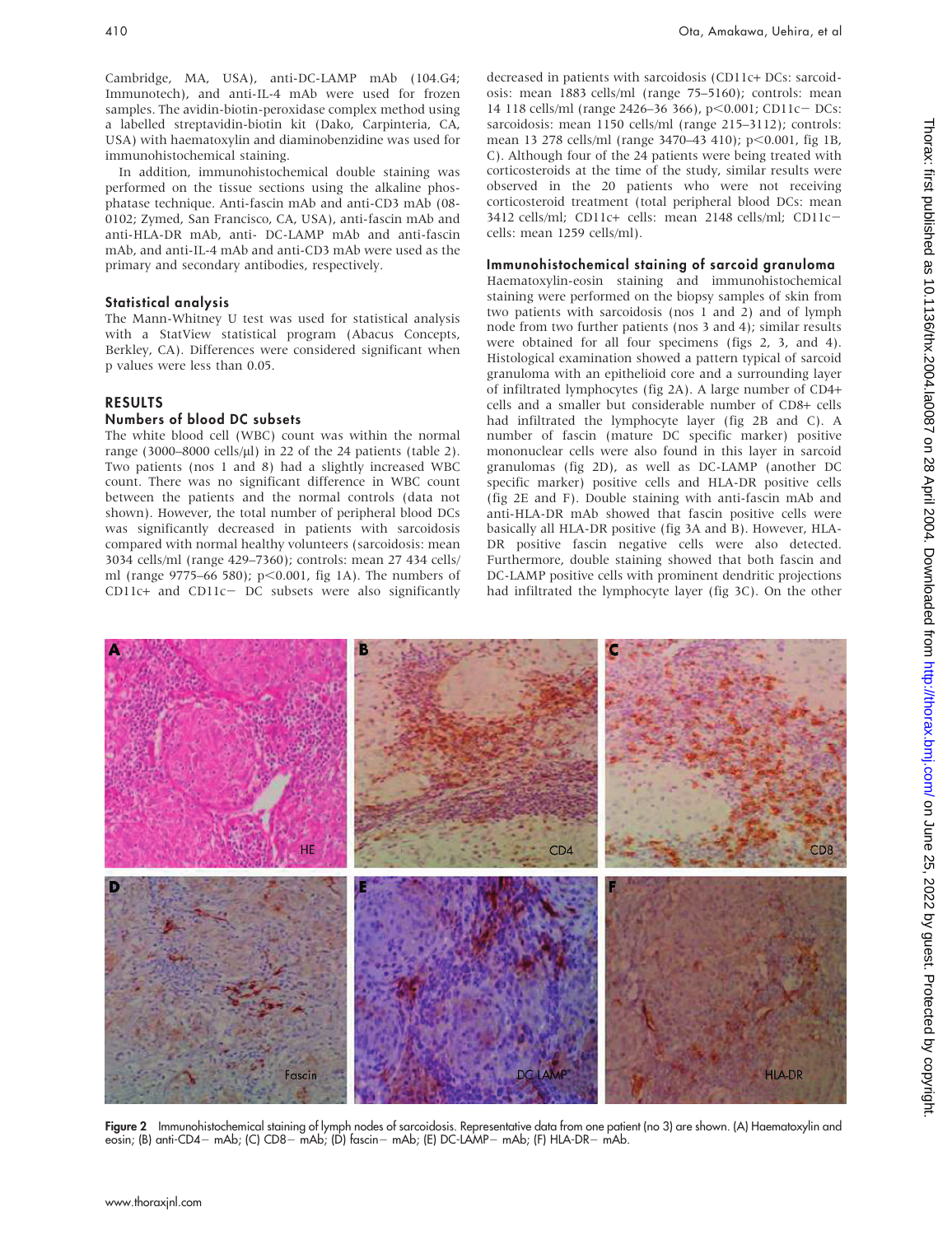Cambridge, MA, USA), anti-DC-LAMP mAb (104.G4; Immunotech), and anti-IL-4 mAb were used for frozen samples. The avidin-biotin-peroxidase complex method using a labelled streptavidin-biotin kit (Dako, Carpinteria, CA, USA) with haematoxylin and diaminobenzidine was used for immunohistochemical staining.

In addition, immunohistochemical double staining was performed on the tissue sections using the alkaline phosphatase technique. Anti-fascin mAb and anti-CD3 mAb (08- 0102; Zymed, San Francisco, CA, USA), anti-fascin mAb and anti-HLA-DR mAb, anti- DC-LAMP mAb and anti-fascin mAb, and anti-IL-4 mAb and anti-CD3 mAb were used as the primary and secondary antibodies, respectively.

#### Statistical analysis

The Mann-Whitney U test was used for statistical analysis with a StatView statistical program (Abacus Concepts, Berkley, CA). Differences were considered significant when p values were less than 0.05.

### RESULTS

### Numbers of blood DC subsets

The white blood cell (WBC) count was within the normal range (3000–8000 cells/ $\mu$ l) in 22 of the 24 patients (table 2). Two patients (nos 1 and 8) had a slightly increased WBC count. There was no significant difference in WBC count between the patients and the normal controls (data not shown). However, the total number of peripheral blood DCs was significantly decreased in patients with sarcoidosis compared with normal healthy volunteers (sarcoidosis: mean 3034 cells/ml (range 429–7360); controls: mean 27 434 cells/ ml (range  $9775-66580$ ); p<0.001, fig 1A). The numbers of  $CD11c+$  and  $CD11c-$  DC subsets were also significantly

decreased in patients with sarcoidosis (CD11c+ DCs: sarcoidosis: mean 1883 cells/ml (range 75–5160); controls: mean 14 118 cells/ml (range 2426-36 366), p<0.001; CD11c- DCs: sarcoidosis: mean 1150 cells/ml (range 215–3112); controls: mean 13 278 cells/ml (range 3470–43 410); p<0.001, fig 1B, C). Although four of the 24 patients were being treated with corticosteroids at the time of the study, similar results were observed in the 20 patients who were not receiving corticosteroid treatment (total peripheral blood DCs: mean 3412 cells/ml; CD11c+ cells: mean 2148 cells/ml; CD11ccells: mean 1259 cells/ml).

#### Immunohistochemical staining of sarcoid granuloma

Haematoxylin-eosin staining and immunohistochemical staining were performed on the biopsy samples of skin from two patients with sarcoidosis (nos 1 and 2) and of lymph node from two further patients (nos 3 and 4); similar results were obtained for all four specimens (figs 2, 3, and 4). Histological examination showed a pattern typical of sarcoid granuloma with an epithelioid core and a surrounding layer of infiltrated lymphocytes (fig 2A). A large number of CD4+ cells and a smaller but considerable number of CD8+ cells had infiltrated the lymphocyte layer (fig 2B and C). A number of fascin (mature DC specific marker) positive mononuclear cells were also found in this layer in sarcoid granulomas (fig 2D), as well as DC-LAMP (another DC specific marker) positive cells and HLA-DR positive cells (fig 2E and F). Double staining with anti-fascin mAb and anti-HLA-DR mAb showed that fascin positive cells were basically all HLA-DR positive (fig 3A and B). However, HLA-DR positive fascin negative cells were also detected. Furthermore, double staining showed that both fascin and DC-LAMP positive cells with prominent dendritic projections had infiltrated the lymphocyte layer (fig 3C). On the other



Figure 2 Immunohistochemical staining of lymph nodes of sarcoidosis. Representative data from one patient (no 3) are shown. (A) Haematoxylin and eosin; (B) anti-CD4- mAb; (C) CD8- mAb; (D) fascin- mAb; (E) DC-LAMP- mAb; (F) HLA-DR- mAb.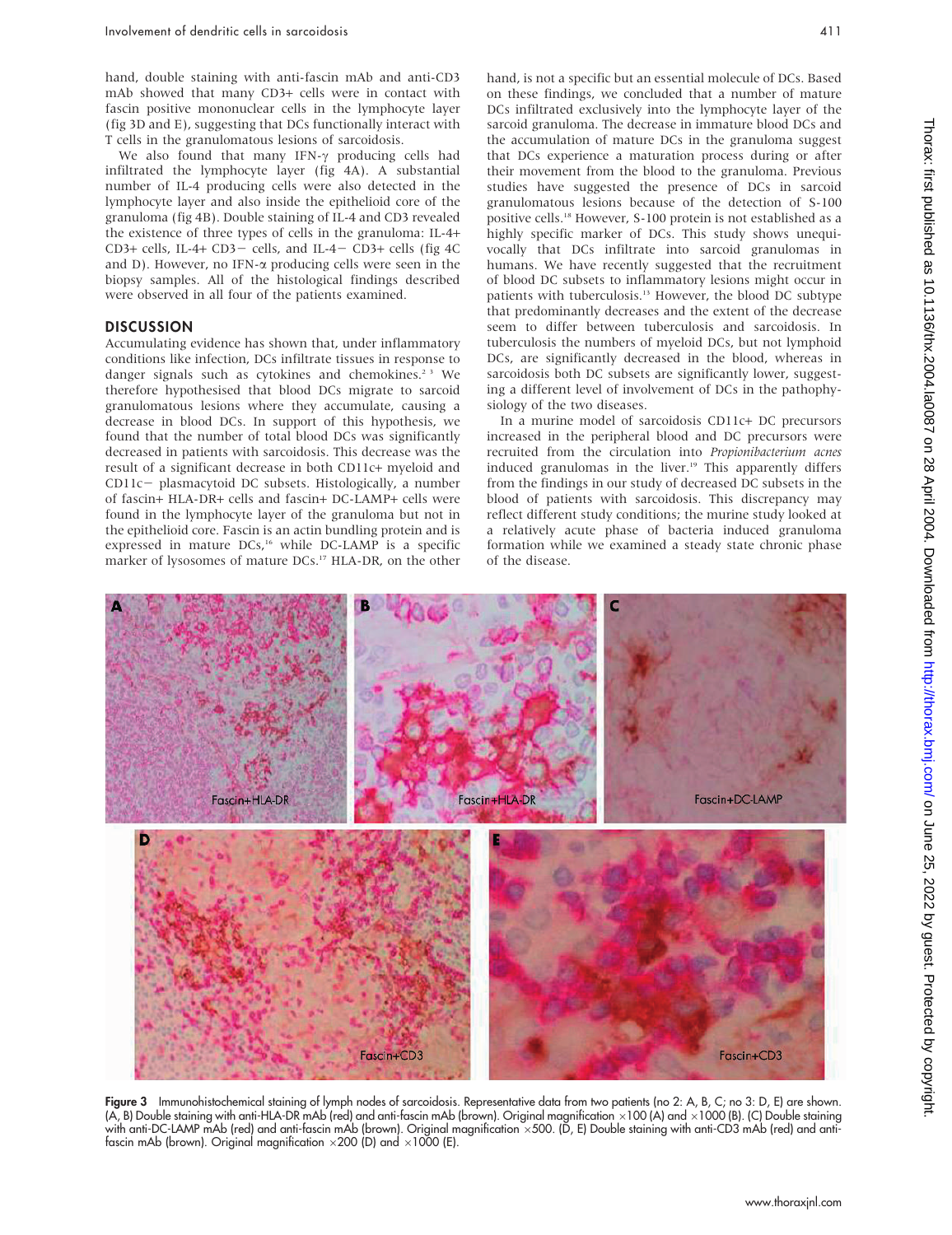hand, double staining with anti-fascin mAb and anti-CD3 mAb showed that many CD3+ cells were in contact with fascin positive mononuclear cells in the lymphocyte layer (fig 3D and E), suggesting that DCs functionally interact with T cells in the granulomatous lesions of sarcoidosis.

We also found that many IFN- $\gamma$  producing cells had infiltrated the lymphocyte layer (fig 4A). A substantial number of IL-4 producing cells were also detected in the lymphocyte layer and also inside the epithelioid core of the granuloma (fig 4B). Double staining of IL-4 and CD3 revealed the existence of three types of cells in the granuloma: IL-4+ CD3+ cells, IL-4+ CD3- cells, and IL-4- CD3+ cells (fig 4C and D). However, no IFN- $\alpha$  producing cells were seen in the biopsy samples. All of the histological findings described were observed in all four of the patients examined.

#### **DISCUSSION**

Accumulating evidence has shown that, under inflammatory conditions like infection, DCs infiltrate tissues in response to danger signals such as cytokines and chemokines.<sup>23</sup> We therefore hypothesised that blood DCs migrate to sarcoid granulomatous lesions where they accumulate, causing a decrease in blood DCs. In support of this hypothesis, we found that the number of total blood DCs was significantly decreased in patients with sarcoidosis. This decrease was the result of a significant decrease in both CD11c+ myeloid and CD11c- plasmacytoid DC subsets. Histologically, a number of fascin+ HLA-DR+ cells and fascin+ DC-LAMP+ cells were found in the lymphocyte layer of the granuloma but not in the epithelioid core. Fascin is an actin bundling protein and is expressed in mature DCs,<sup>16</sup> while DC-LAMP is a specific marker of lysosomes of mature DCs.<sup>17</sup> HLA-DR, on the other

hand, is not a specific but an essential molecule of DCs. Based on these findings, we concluded that a number of mature DCs infiltrated exclusively into the lymphocyte layer of the sarcoid granuloma. The decrease in immature blood DCs and the accumulation of mature DCs in the granuloma suggest that DCs experience a maturation process during or after their movement from the blood to the granuloma. Previous studies have suggested the presence of DCs in sarcoid granulomatous lesions because of the detection of S-100 positive cells.18 However, S-100 protein is not established as a highly specific marker of DCs. This study shows unequivocally that DCs infiltrate into sarcoid granulomas in humans. We have recently suggested that the recruitment of blood DC subsets to inflammatory lesions might occur in patients with tuberculosis.<sup>13</sup> However, the blood DC subtype that predominantly decreases and the extent of the decrease seem to differ between tuberculosis and sarcoidosis. In tuberculosis the numbers of myeloid DCs, but not lymphoid DCs, are significantly decreased in the blood, whereas in sarcoidosis both DC subsets are significantly lower, suggesting a different level of involvement of DCs in the pathophysiology of the two diseases.

In a murine model of sarcoidosis CD11c+ DC precursors increased in the peripheral blood and DC precursors were recruited from the circulation into Propionibacterium acnes induced granulomas in the liver.<sup>19</sup> This apparently differs from the findings in our study of decreased DC subsets in the blood of patients with sarcoidosis. This discrepancy may reflect different study conditions; the murine study looked at a relatively acute phase of bacteria induced granuloma formation while we examined a steady state chronic phase of the disease.



Figure 3 Immunohistochemical staining of lymph nodes of sarcoidosis. Representative data from two patients (no 2: A, B, C; no 3: D, E) are shown. (A, B) Double staining with anti-HLA-DR mAb (red) and anti-fascin mAb (brown). Original magnification  $\times100$  (A) and  $\times1000$  (B). (C) Double staining with anti-DC-LAMP mAb (red) and anti-fascin mAb (brown). Original magnification ×500. (D, E) Double staining with anti-CD3 mAb (red) and antifascin mAb (brown). Original magnification  $\times$  200 (D) and  $\times$ 1000 (E).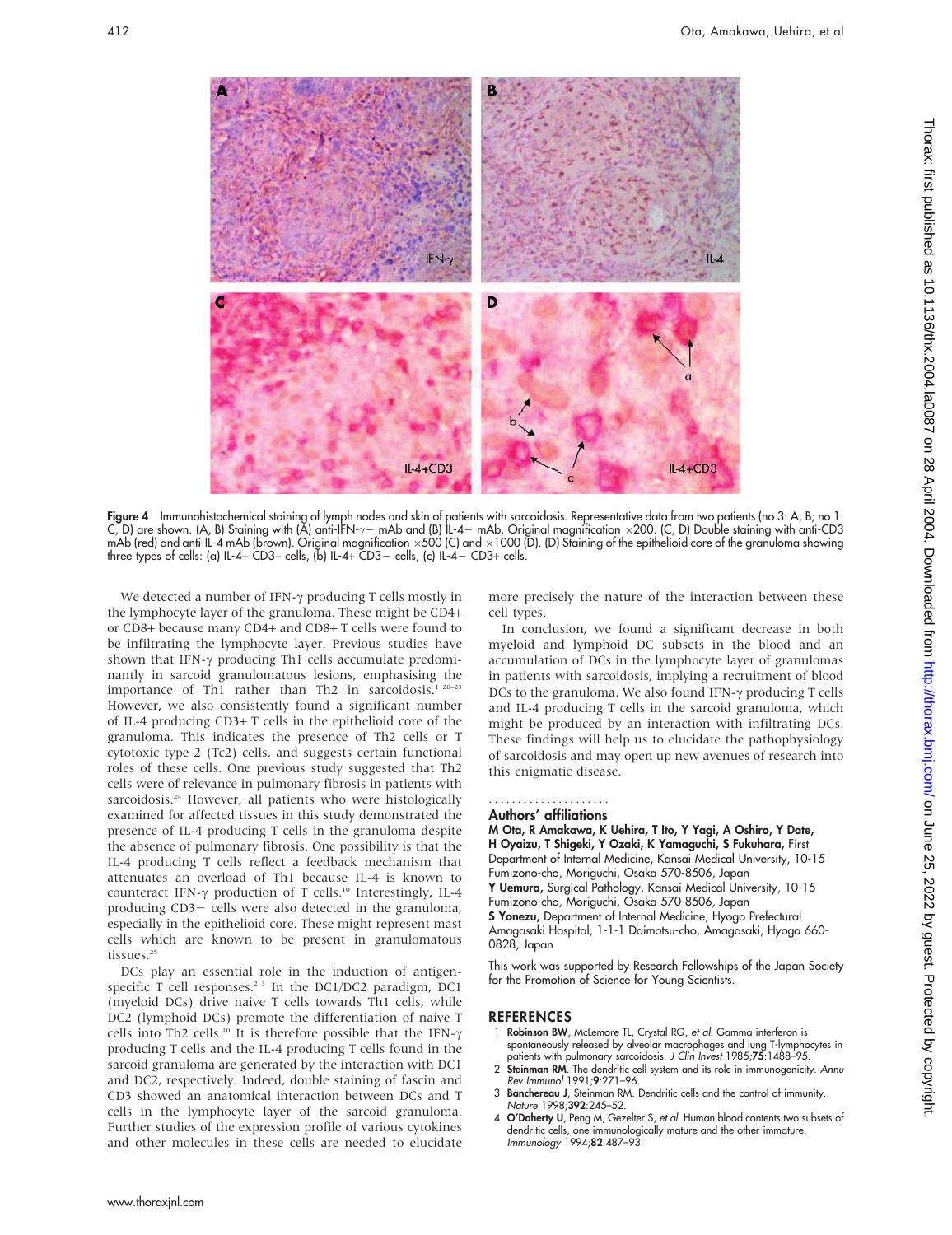

Figure 4 Immunohistochemical staining of lymph nodes and skin of patients with sarcoidosis. Representative data from two patients (no 3: A, B; no 1: C, D) are shown. (A, B) Staining with (A) anti-IFN- $\gamma-$  mAb and (B) IL-4– mAb. Original magnification ×200. (C, D) Double staining with anti-CD3 mAb (red) and anti-IL-4 mAb (brown). Original magnitication ×500 (C) and ×1000 (D). (D) Staining ot the epithelioid core ot the granuloma showing three types of cells: (a) IL-4+ CD3+ cells, (b) IL-4+ CD3- cells, (c) IL-4- CD3+ cells.

We detected a number of IFN- $\gamma$  producing T cells mostly in the lymphocyte layer of the granuloma. These might be CD4+ or CD8+ because many CD4+ and CD8+ T cells were found to be infiltrating the lymphocyte layer. Previous studies have shown that IFN- $\gamma$  producing Th1 cells accumulate predominantly in sarcoid granulomatous lesions, emphasising the importance of Th1 rather than Th2 in sarcoidosis.<sup>1 20-23</sup> However, we also consistently found a significant number of IL-4 producing CD3+ T cells in the epithelioid core of the granuloma. This indicates the presence of Th2 cells or T cytotoxic type 2 (Tc2) cells, and suggests certain functional roles of these cells. One previous study suggested that Th2 cells were of relevance in pulmonary fibrosis in patients with sarcoidosis.<sup>24</sup> However, all patients who were histologically examined for affected tissues in this study demonstrated the presence of IL-4 producing T cells in the granuloma despite the absence of pulmonary fibrosis. One possibility is that the IL-4 producing T cells reflect a feedback mechanism that attenuates an overload of Th1 because IL-4 is known to counteract IFN- $\gamma$  production of T cells.<sup>10</sup> Interestingly, IL-4 producing CD3- cells were also detected in the granuloma, especially in the epithelioid core. These might represent mast cells which are known to be present in granulomatous tissues.<sup>25</sup>

DCs play an essential role in the induction of antigenspecific T cell responses.<sup>23</sup> In the DC1/DC2 paradigm, DC1 (myeloid DCs) drive naive T cells towards Th1 cells, while DC2 (lymphoid DCs) promote the differentiation of naive T cells into Th2 cells.<sup>10</sup> It is therefore possible that the IFN- $\gamma$ producing T cells and the IL-4 producing T cells found in the sarcoid granuloma are generated by the interaction with DC1 and DC2, respectively. Indeed, double staining of fascin and CD3 showed an anatomical interaction between DCs and T cells in the lymphocyte layer of the sarcoid granuloma. Further studies of the expression profile of various cytokines and other molecules in these cells are needed to elucidate more precisely the nature of the interaction between these cell types.

In conclusion, we found a significant decrease in both myeloid and lymphoid DC subsets in the blood and an accumulation of DCs in the lymphocyte layer of granulomas in patients with sarcoidosis, implying a recruitment of blood DCs to the granuloma. We also found IFN- $\gamma$  producing T cells and IL-4 producing T cells in the sarcoid granuloma, which might be produced by an interaction with infiltrating DCs. These findings will help us to elucidate the pathophysiology of sarcoidosis and may open up new avenues of research into this enigmatic disease.

# .....................

Authors' affiliations M Ota, R Amakawa, K Uehira, T Ito, Y Yagi, A Oshiro, Y Date, H Oyaizu, T Shigeki, Y Ozaki, K Yamaguchi, S Fukuhara, First Department of Internal Medicine, Kansai Medical University, 10-15 Fumizono-cho, Moriguchi, Osaka 570-8506, Japan Y Uemura, Surgical Pathology, Kansai Medical University, 10-15 Fumizono-cho, Moriguchi, Osaka 570-8506, Japan S Yonezu, Department of Internal Medicine, Hyogo Prefectural

Amagasaki Hospital, 1-1-1 Daimotsu-cho, Amagasaki, Hyogo 660- 0828, Japan

This work was supported by Research Fellowships of the Japan Society for the Promotion of Science for Young Scientists.

## REFERENCES

- 1 Robinson BW, McLemore TL, Crystal RG, et al. Gamma interferon is spontaneously released by alveolar macrophages and lung T-lymphocytes in
- patients with pulmonary sarcoidosis. *J Clin Invest* 1985;**75**:1488–95.<br>2 **Steinman RM**. The dendritic cell system and its role in immunogenicity. Annu Rev Immunol 1991;9:271–96.
- 3 Banchereau J, Steinman RM. Dendritic cells and the control of immunity. Nature 1998;392:245–52.
- 4 O'Doherty U, Peng M, Gezelter S, et al. Human blood contents two subsets of dendritic cells, one immunologically mature and the other immature. Immunology 1994;82:487–93.